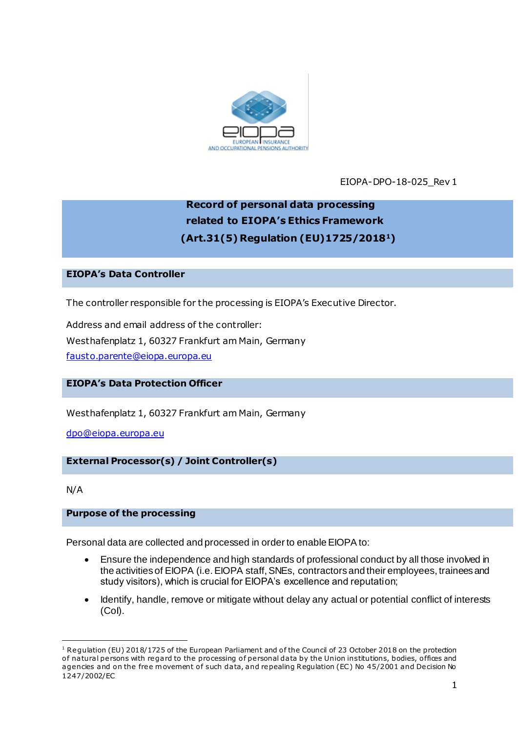

EIOPA-DPO-18-025\_Rev 1

# **Record of personal data processing related to EIOPA's Ethics Framework (Art.31(5) Regulation (EU)1725/20181)**

## **EIOPA's Data Controller**

The controller responsible for the processing is EIOPA's Executive Director.

Address and email address of the controller: Westhafenplatz 1, 60327 Frankfurt am Main, Germany [fausto.parente@eiopa.europa.eu](mailto:fausto.parente@eiopa.europa.eu)

# **EIOPA's Data Protection Officer**

Westhafenplatz 1, 60327 Frankfurt am Main, Germany

[dpo@eiopa.europa.eu](mailto:dpo@eiopa.europa.eu)

# **External Processor(s) / Joint Controller(s)**

N/A

.

## **Purpose of the processing**

Personal data are collected and processed in order to enable EIOPA to:

- Ensure the independence and high standards of professional conduct by all those involved in the activities of EIOPA (i.e. EIOPA staff, SNEs, contractors and their employees, trainees and study visitors), which is crucial for EIOPA's excellence and reputation;
- Identify, handle, remove or mitigate without delay any actual or potential conflict of interests (CoI).

<sup>&</sup>lt;sup>1</sup> Regulation (EU) 2018/1725 of the European Parliament and of the Council of 23 October 2018 on the protection of natural persons with regard to the processing of personal data by the Union institutions, bodies, offices and agencies and on the free movement of such data, and repealing Regulation (EC) No 45/2001 and Decision No 1247/2002/EC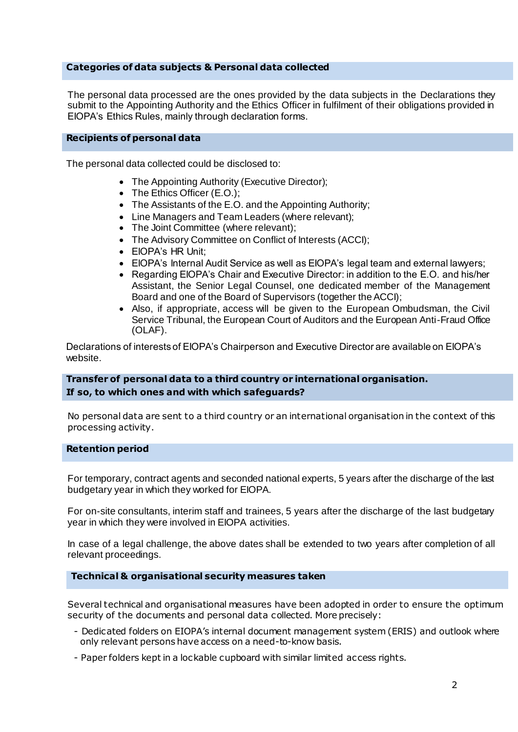## **Categories of data subjects & Personal data collected**

The personal data processed are the ones provided by the data subjects in the Declarations they submit to the Appointing Authority and the Ethics Officer in fulfilment of their obligations provided in EIOPA's Ethics Rules, mainly through declaration forms.

#### **Recipients of personal data**

The personal data collected could be disclosed to:

- The Appointing Authority (Executive Director);
- The Ethics Officer (E.O.);
- The Assistants of the E.O. and the Appointing Authority;
- Line Managers and Team Leaders (where relevant);
- The Joint Committee (where relevant);
- The Advisory Committee on Conflict of Interests (ACCI);
- EIOPA's HR Unit:
- EIOPA's Internal Audit Service as well as EIOPA's legal team and external lawyers;
- Regarding EIOPA's Chair and Executive Director: in addition to the E.O. and his/her Assistant, the Senior Legal Counsel, one dedicated member of the Management Board and one of the Board of Supervisors (together the ACCI);
- Also, if appropriate, access will be given to the European Ombudsman, the Civil Service Tribunal, the European Court of Auditors and the European Anti-Fraud Office (OLAF).

Declarations of interests of EIOPA's Chairperson and Executive Director are available on EIOPA's website.

## **Transfer of personal data to a third country or international organisation. If so, to which ones and with which safeguards?**

No personal data are sent to a third country or an international organisation in the context of this processing activity.

#### **Retention period**

For temporary, contract agents and seconded national experts, 5 years after the discharge of the last budgetary year in which they worked for EIOPA.

For on-site consultants, interim staff and trainees, 5 years after the discharge of the last budgetary year in which they were involved in EIOPA activities.

In case of a legal challenge, the above dates shall be extended to two years after completion of all relevant proceedings.

#### **Technical & organisational security measures taken**

Several technical and organisational measures have been adopted in order to ensure the optimum security of the documents and personal data collected. More precisely:

- Dedicated folders on EIOPA's internal document management system (ERIS) and outlook where only relevant persons have access on a need-to-know basis.
- Paper folders kept in a lockable cupboard with similar limited access rights.